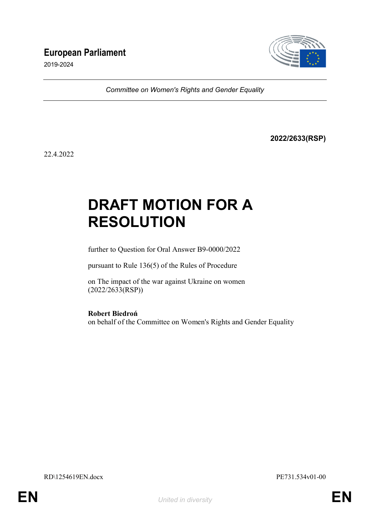## **European Parliament**

2019-2024



*Committee on Women's Rights and Gender Equality*

**2022/2633(RSP)**

22.4.2022

# **DRAFT MOTION FOR A RESOLUTION**

further to Question for Oral Answer B9-0000/2022

pursuant to Rule 136(5) of the Rules of Procedure

on The impact of the war against Ukraine on women (2022/2633(RSP))

**Robert Biedroń**

on behalf of the Committee on Women's Rights and Gender Equality

RD\1254619EN.docx PE731.534v01-00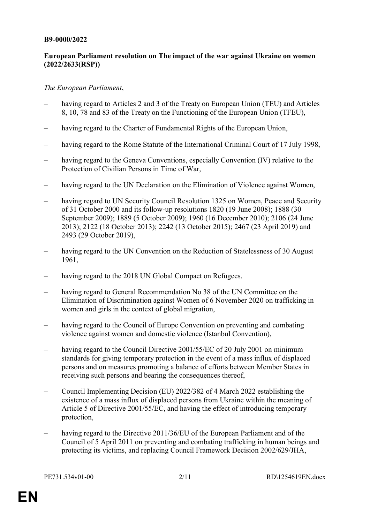#### **B9-0000/2022**

#### **European Parliament resolution on The impact of the war against Ukraine on women (2022/2633(RSP))**

#### *The European Parliament*,

- having regard to Articles 2 and 3 of the Treaty on European Union (TEU) and Articles 8, 10, 78 and 83 of the Treaty on the Functioning of the European Union (TFEU),
- having regard to the Charter of Fundamental Rights of the European Union,
- having regard to the Rome Statute of the International Criminal Court of 17 July 1998,
- having regard to the Geneva Conventions, especially Convention (IV) relative to the Protection of Civilian Persons in Time of War,
- having regard to the UN Declaration on the Elimination of Violence against Women,
- having regard to UN Security Council Resolution 1325 on Women, Peace and Security of 31 October 2000 and its follow-up resolutions 1820 (19 June 2008); 1888 (30 September 2009); 1889 (5 October 2009); 1960 (16 December 2010); 2106 (24 June 2013); 2122 (18 October 2013); 2242 (13 October 2015); 2467 (23 April 2019) and 2493 (29 October 2019),
- having regard to the UN Convention on the Reduction of Statelessness of 30 August 1961,
- having regard to the 2018 UN Global Compact on Refugees,
- having regard to General Recommendation No 38 of the UN Committee on the Elimination of Discrimination against Women of 6 November 2020 on trafficking in women and girls in the context of global migration,
- having regard to the Council of Europe Convention on preventing and combating violence against women and domestic violence (Istanbul Convention),
- having regard to the Council Directive 2001/55/EC of 20 July 2001 on minimum standards for giving temporary protection in the event of a mass influx of displaced persons and on measures promoting a balance of efforts between Member States in receiving such persons and bearing the consequences thereof,
- Council Implementing Decision (EU) 2022/382 of 4 March 2022 establishing the existence of a mass influx of displaced persons from Ukraine within the meaning of Article 5 of Directive 2001/55/EC, and having the effect of introducing temporary protection,
- having regard to the Directive 2011/36/EU of the European Parliament and of the Council of 5 April 2011 on preventing and combating trafficking in human beings and protecting its victims, and replacing Council Framework Decision 2002/629/JHA,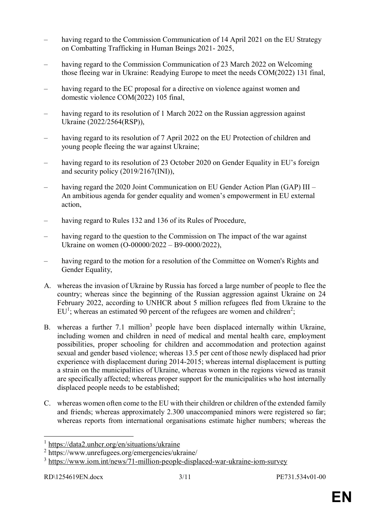- having regard to the Commission Communication of 14 April 2021 on the EU Strategy on Combatting Trafficking in Human Beings 2021- 2025,
- having regard to the Commission Communication of 23 March 2022 on Welcoming those fleeing war in Ukraine: Readying Europe to meet the needs COM(2022) 131 final,
- having regard to the EC proposal for a directive on violence against women and domestic violence COM(2022) 105 final,
- having regard to its resolution of 1 March 2022 on the Russian aggression against Ukraine (2022/2564(RSP)),
- having regard to its resolution of 7 April 2022 on the EU Protection of children and young people fleeing the war against Ukraine;
- having regard to its resolution of 23 October 2020 on Gender Equality in EU's foreign and security policy (2019/2167(INI)),
- having regard the 2020 Joint Communication on EU Gender Action Plan (GAP) III An ambitious agenda for gender equality and women's empowerment in EU external action,
- having regard to Rules 132 and 136 of its Rules of Procedure,
- having regard to the question to the Commission on The impact of the war against Ukraine on women (O-00000/2022 – B9-0000/2022),
- having regard to the motion for a resolution of the Committee on Women's Rights and Gender Equality,
- A. whereas the invasion of Ukraine by Russia has forced a large number of people to flee the country; whereas since the beginning of the Russian aggression against Ukraine on 24 February 2022, according to UNHCR about 5 million refugees fled from Ukraine to the  $EU<sup>1</sup>$ ; whereas an estimated 90 percent of the refugees are women and children<sup>2</sup>;
- B. whereas a further 7.1 million<sup>3</sup> people have been displaced internally within Ukraine, including women and children in need of medical and mental health care, employment possibilities, proper schooling for children and accommodation and protection against sexual and gender based violence; whereas 13.5 per cent of those newly displaced had prior experience with displacement during 2014-2015; whereas internal displacement is putting a strain on the municipalities of Ukraine, whereas women in the regions viewed as transit are specifically affected; whereas proper support for the municipalities who host internally displaced people needs to be established;
- C. whereas women often come to the EU with their children or children of the extended family and friends; whereas approximately 2.300 unaccompanied minors were registered so far; whereas reports from international organisations estimate higher numbers; whereas the

 $\overline{a}$ 

<sup>&</sup>lt;sup>1</sup> https://data2.unhcr.org/en/situations/ukraine

<sup>2</sup> https://www.unrefugees.org/emergencies/ukraine/

<sup>&</sup>lt;sup>3</sup> https://www.iom.int/news/71-million-people-displaced-war-ukraine-iom-survey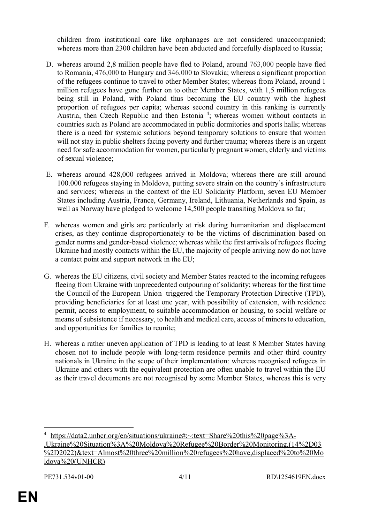children from institutional care like orphanages are not considered unaccompanied; whereas more than 2300 children have been abducted and forcefully displaced to Russia;

- D. whereas around 2,8 million people have fled to Poland, around 763,000 people have fled to Romania, 476,000 to Hungary and 346,000 to Slovakia; whereas a significant proportion of the refugees continue to travel to other Member States; whereas from Poland, around 1 million refugees have gone further on to other Member States, with 1,5 million refugees being still in Poland, with Poland thus becoming the EU country with the highest proportion of refugees per capita; whereas second country in this ranking is currently Austria, then Czech Republic and then Estonia<sup>4</sup>; whereas women without contacts in countries such as Poland are accommodated in public dormitories and sports halls; whereas there is a need for systemic solutions beyond temporary solutions to ensure that women will not stay in public shelters facing poverty and further trauma; whereas there is an urgent need for safe accommodation for women, particularly pregnant women, elderly and victims of sexual violence;
- E. whereas around 428,000 refugees arrived in Moldova; whereas there are still around 100.000 refugees staying in Moldova, putting severe strain on the country's infrastructure and services; whereas in the context of the EU Solidarity Platform, seven EU Member States including Austria, France, Germany, Ireland, Lithuania, Netherlands and Spain, as well as Norway have pledged to welcome 14,500 people transiting Moldova so far;
- F. whereas women and girls are particularly at risk during humanitarian and displacement crises, as they continue disproportionately to be the victims of discrimination based on gender norms and gender-based violence; whereas while the first arrivals of refugees fleeing Ukraine had mostly contacts within the EU, the majority of people arriving now do not have a contact point and support network in the EU;
- G. whereas the EU citizens, civil society and Member States reacted to the incoming refugees fleeing from Ukraine with unprecedented outpouring of solidarity; whereas for the first time the Council of the European Union triggered the Temporary Protection Directive (TPD), providing beneficiaries for at least one year, with possibility of extension, with residence permit, access to employment, to suitable accommodation or housing, to social welfare or means of subsistence if necessary, to health and medical care, access of minors to education, and opportunities for families to reunite;
- H. whereas a rather uneven application of TPD is leading to at least 8 Member States having chosen not to include people with long-term residence permits and other third country nationals in Ukraine in the scope of their implementation: whereas recognised refugees in Ukraine and others with the equivalent protection are often unable to travel within the EU as their travel documents are not recognised by some Member States, whereas this is very

 $\overline{a}$ 

<sup>4</sup> https://data2.unhcr.org/en/situations/ukraine#:~:text=Share%20this%20page%3A- ,Ukraine%20Situation%3A%20Moldova%20Refugee%20Border%20Monitoring,(14%2D03 %2D2022)&text=Almost%20three%20million%20refugees%20have,displaced%20to%20Mo ldova%20(UNHCR)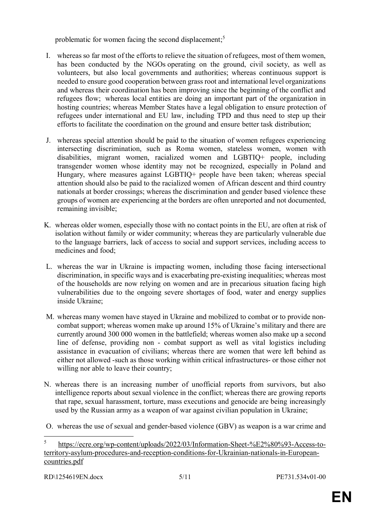problematic for women facing the second displacement;<sup>5</sup>

- I. whereas so far most of the efforts to relieve the situation of refugees, most of them women, has been conducted by the NGOs operating on the ground, civil society, as well as volunteers, but also local governments and authorities; whereas continuous support is needed to ensure good cooperation between grass root and international level organizations and whereas their coordination has been improving since the beginning of the conflict and refugees flow; whereas local entities are doing an important part of the organization in hosting countries; whereas Member States have a legal obligation to ensure protection of refugees under international and EU law, including TPD and thus need to step up their efforts to facilitate the coordination on the ground and ensure better task distribution;
- J. whereas special attention should be paid to the situation of women refugees experiencing intersecting discrimination, such as Roma women, stateless women, women with disabilities, migrant women, racialized women and LGBTIQ+ people, including transgender women whose identity may not be recognized, especially in Poland and Hungary, where measures against LGBTIQ+ people have been taken; whereas special attention should also be paid to the racialized women of African descent and third country nationals at border crossings; whereas the discrimination and gender based violence these groups of women are experiencing at the borders are often unreported and not documented, remaining invisible;
- K. whereas older women, especially those with no contact points in the EU, are often at risk of isolation without family or wider community; whereas they are particularly vulnerable due to the language barriers, lack of access to social and support services, including access to medicines and food;
- L. whereas the war in Ukraine is impacting women, including those facing intersectional discrimination, in specific ways and is exacerbating pre-existing inequalities; whereas most of the households are now relying on women and are in precarious situation facing high vulnerabilities due to the ongoing severe shortages of food, water and energy supplies inside Ukraine;
- M. whereas many women have stayed in Ukraine and mobilized to combat or to provide noncombat support; whereas women make up around 15% of Ukraine's military and there are currently around 300 000 women in the battlefield; whereas women also make up a second line of defense, providing non - combat support as well as vital logistics including assistance in evacuation of civilians; whereas there are women that were left behind as either not allowed -such as those working within critical infrastructures- or those either not willing nor able to leave their country;
- N. whereas there is an increasing number of unofficial reports from survivors, but also intelligence reports about sexual violence in the conflict; whereas there are growing reports that rape, sexual harassment, torture, mass executions and genocide are being increasingly used by the Russian army as a weapon of war against civilian population in Ukraine;
- O. whereas the use of sexual and gender-based violence (GBV) as weapon is a war crime and

 $\overline{a}$ 

<sup>5</sup> https://ecre.org/wp-content/uploads/2022/03/Information-Sheet-%E2%80%93-Access-toterritory-asylum-procedures-and-reception-conditions-for-Ukrainian-nationals-in-Europeancountries.pdf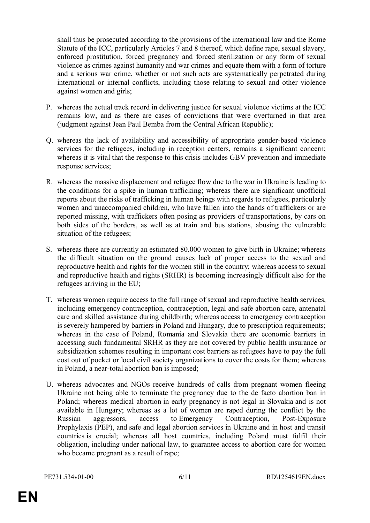shall thus be prosecuted according to the provisions of the international law and the Rome Statute of the ICC, particularly Articles 7 and 8 thereof, which define rape, sexual slavery, enforced prostitution, forced pregnancy and forced sterilization or any form of sexual violence as crimes against humanity and war crimes and equate them with a form of torture and a serious war crime, whether or not such acts are systematically perpetrated during international or internal conflicts, including those relating to sexual and other violence against women and girls;

- P. whereas the actual track record in delivering justice for sexual violence victims at the ICC remains low, and as there are cases of convictions that were overturned in that area (judgment against Jean Paul Bemba from the Central African Republic);
- Q. whereas the lack of availability and accessibility of appropriate gender-based violence services for the refugees, including in reception centers, remains a significant concern; whereas it is vital that the response to this crisis includes GBV prevention and immediate response services;
- R. whereas the massive displacement and refugee flow due to the war in Ukraine is leading to the conditions for a spike in human trafficking; whereas there are significant unofficial reports about the risks of trafficking in human beings with regards to refugees, particularly women and unaccompanied children, who have fallen into the hands of traffickers or are reported missing, with traffickers often posing as providers of transportations, by cars on both sides of the borders, as well as at train and bus stations, abusing the vulnerable situation of the refugees;
- S. whereas there are currently an estimated 80.000 women to give birth in Ukraine; whereas the difficult situation on the ground causes lack of proper access to the sexual and reproductive health and rights for the women still in the country; whereas access to sexual and reproductive health and rights (SRHR) is becoming increasingly difficult also for the refugees arriving in the EU;
- T. whereas women require access to the full range of sexual and reproductive health services, including emergency contraception, contraception, legal and safe abortion care, antenatal care and skilled assistance during childbirth; whereas access to emergency contraception is severely hampered by barriers in Poland and Hungary, due to prescription requirements; whereas in the case of Poland, Romania and Slovakia there are economic barriers in accessing such fundamental SRHR as they are not covered by public health insurance or subsidization schemes resulting in important cost barriers as refugees have to pay the full cost out of pocket or local civil society organizations to cover the costs for them; whereas in Poland, a near-total abortion ban is imposed;
- U. whereas advocates and NGOs receive hundreds of calls from pregnant women fleeing Ukraine not being able to terminate the pregnancy due to the de facto abortion ban in Poland; whereas medical abortion in early pregnancy is not legal in Slovakia and is not available in Hungary; whereas as a lot of women are raped during the conflict by the Russian aggressors, access to Emergency Contraception, Post-Exposure Prophylaxis (PEP), and safe and legal abortion services in Ukraine and in host and transit countries is crucial; whereas all host countries, including Poland must fulfil their obligation, including under national law, to guarantee access to abortion care for women who became pregnant as a result of rape;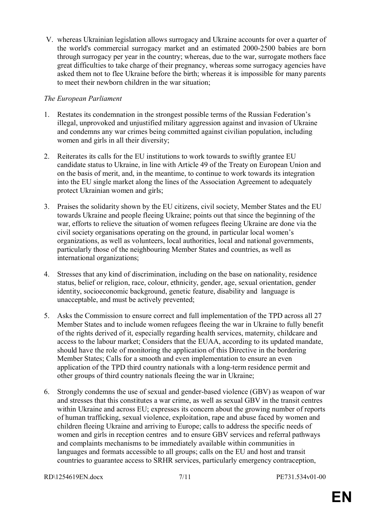V. whereas Ukrainian legislation allows surrogacy and Ukraine accounts for over a quarter of the world's commercial surrogacy market and an estimated 2000-2500 babies are born through surrogacy per year in the country; whereas, due to the war, surrogate mothers face great difficulties to take charge of their pregnancy, whereas some surrogacy agencies have asked them not to flee Ukraine before the birth; whereas it is impossible for many parents to meet their newborn children in the war situation;

### *The European Parliament*

- 1. Restates its condemnation in the strongest possible terms of the Russian Federation's illegal, unprovoked and unjustified military aggression against and invasion of Ukraine and condemns any war crimes being committed against civilian population, including women and girls in all their diversity;
- 2. Reiterates its calls for the EU institutions to work towards to swiftly grantee EU candidate status to Ukraine, in line with Article 49 of the Treaty on European Union and on the basis of merit, and, in the meantime, to continue to work towards its integration into the EU single market along the lines of the Association Agreement to adequately protect Ukrainian women and girls;
- 3. Praises the solidarity shown by the EU citizens, civil society, Member States and the EU towards Ukraine and people fleeing Ukraine; points out that since the beginning of the war, efforts to relieve the situation of women refugees fleeing Ukraine are done via the civil society organisations operating on the ground, in particular local women's organizations, as well as volunteers, local authorities, local and national governments, particularly those of the neighbouring Member States and countries, as well as international organizations;
- 4. Stresses that any kind of discrimination, including on the base on nationality, residence status, belief or religion, race, colour, ethnicity, gender, age, sexual orientation, gender identity, socioeconomic background, genetic feature, disability and language is unacceptable, and must be actively prevented;
- 5. Asks the Commission to ensure correct and full implementation of the TPD across all 27 Member States and to include women refugees fleeing the war in Ukraine to fully benefit of the rights derived of it, especially regarding health services, maternity, childcare and access to the labour market; Considers that the EUAA, according to its updated mandate, should have the role of monitoring the application of this Directive in the bordering Member States; Calls for a smooth and even implementation to ensure an even application of the TPD third country nationals with a long-term residence permit and other groups of third country nationals fleeing the war in Ukraine;
- 6. Strongly condemns the use of sexual and gender-based violence (GBV) as weapon of war and stresses that this constitutes a war crime, as well as sexual GBV in the transit centres within Ukraine and across EU; expresses its concern about the growing number of reports of human trafficking, sexual violence, exploitation, rape and abuse faced by women and children fleeing Ukraine and arriving to Europe; calls to address the specific needs of women and girls in reception centres and to ensure GBV services and referral pathways and complaints mechanisms to be immediately available within communities in languages and formats accessible to all groups; calls on the EU and host and transit countries to guarantee access to SRHR services, particularly emergency contraception,

RD\1254619EN.docx 7/11 PE731.534v01-00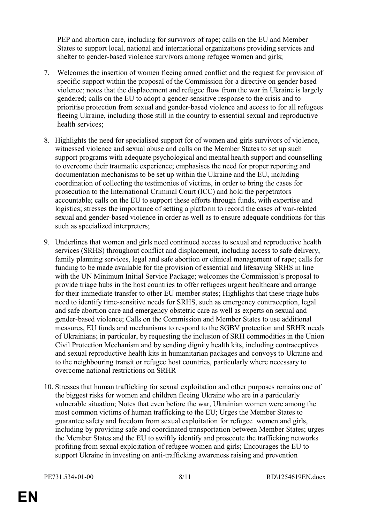PEP and abortion care, including for survivors of rape; calls on the EU and Member States to support local, national and international organizations providing services and shelter to gender-based violence survivors among refugee women and girls;

- 7. Welcomes the insertion of women fleeing armed conflict and the request for provision of specific support within the proposal of the Commission for a directive on gender based violence; notes that the displacement and refugee flow from the war in Ukraine is largely gendered; calls on the EU to adopt a gender-sensitive response to the crisis and to prioritise protection from sexual and gender-based violence and access to for all refugees fleeing Ukraine, including those still in the country to essential sexual and reproductive health services;
- 8. Highlights the need for specialised support for of women and girls survivors of violence, witnessed violence and sexual abuse and calls on the Member States to set up such support programs with adequate psychological and mental health support and counselling to overcome their traumatic experience; emphasises the need for proper reporting and documentation mechanisms to be set up within the Ukraine and the EU, including coordination of collecting the testimonies of victims, in order to bring the cases for prosecution to the International Criminal Court (ICC) and hold the perpetrators accountable; calls on the EU to support these efforts through funds, with expertise and logistics; stresses the importance of setting a platform to record the cases of war-related sexual and gender-based violence in order as well as to ensure adequate conditions for this such as specialized interpreters;
- 9. Underlines that women and girls need continued access to sexual and reproductive health services (SRHS) throughout conflict and displacement, including access to safe delivery, family planning services, legal and safe abortion or clinical management of rape; calls for funding to be made available for the provision of essential and lifesaving SRHS in line with the UN Minimum Initial Service Package; welcomes the Commission's proposal to provide triage hubs in the host countries to offer refugees urgent healthcare and arrange for their immediate transfer to other EU member states; Highlights that these triage hubs need to identify time-sensitive needs for SRHS, such as emergency contraception, legal and safe abortion care and emergency obstetric care as well as experts on sexual and gender-based violence; Calls on the Commission and Member States to use additional measures, EU funds and mechanisms to respond to the SGBV protection and SRHR needs of Ukrainians; in particular, by requesting the inclusion of SRH commodities in the Union Civil Protection Mechanism and by sending dignity health kits, including contraceptives and sexual reproductive health kits in humanitarian packages and convoys to Ukraine and to the neighbouring transit or refugee host countries, particularly where necessary to overcome national restrictions on SRHR
- 10. Stresses that human trafficking for sexual exploitation and other purposes remains one of the biggest risks for women and children fleeing Ukraine who are in a particularly vulnerable situation; Notes that even before the war, Ukrainian women were among the most common victims of human trafficking to the EU; Urges the Member States to guarantee safety and freedom from sexual exploitation for refugee women and girls, including by providing safe and coordinated transportation between Member States; urges the Member States and the EU to swiftly identify and prosecute the trafficking networks profiting from sexual exploitation of refugee women and girls; Encourages the EU to support Ukraine in investing on anti-trafficking awareness raising and prevention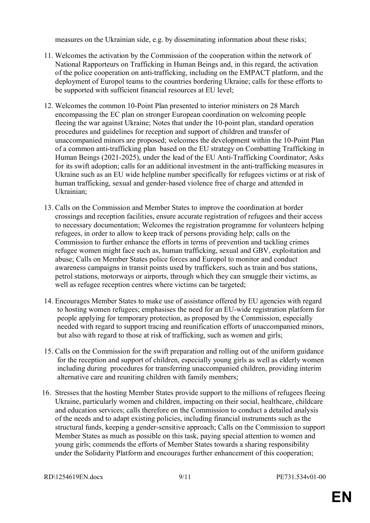measures on the Ukrainian side, e.g. by disseminating information about these risks;

- 11. Welcomes the activation by the Commission of the cooperation within the network of National Rapporteurs on Trafficking in Human Beings and, in this regard, the activation of the police cooperation on anti-trafficking, including on the EMPACT platform, and the deployment of Europol teams to the countries bordering Ukraine; calls for these efforts to be supported with sufficient financial resources at EU level;
- 12. Welcomes the common 10-Point Plan presented to interior ministers on 28 March encompassing the EC plan on stronger European coordination on welcoming people fleeing the war against Ukraine; Notes that under the 10-point plan, standard operation procedures and guidelines for reception and support of children and transfer of unaccompanied minors are proposed; welcomes the development within the 10-Point Plan of a common anti-trafficking plan based on the EU strategy on Combatting Trafficking in Human Beings (2021-2025), under the lead of the EU Anti-Trafficking Coordinator; Asks for its swift adoption; calls for an additional investment in the anti-trafficking measures in Ukraine such as an EU wide helpline number specifically for refugees victims or at risk of human trafficking, sexual and gender-based violence free of charge and attended in Ukrainian;
- 13. Calls on the Commission and Member States to improve the coordination at border crossings and reception facilities, ensure accurate registration of refugees and their access to necessary documentation; Welcomes the registration programme for volunteers helping refugees, in order to allow to keep track of persons providing help; calls on the Commission to further enhance the efforts in terms of prevention and tackling crimes refugee women might face such as, human trafficking, sexual and GBV, exploitation and abuse; Calls on Member States police forces and Europol to monitor and conduct awareness campaigns in transit points used by traffickers, such as train and bus stations, petrol stations, motorways or airports, through which they can smuggle their victims, as well as refugee reception centres where victims can be targeted;
- 14. Encourages Member States to make use of assistance offered by EU agencies with regard to hosting women refugees; emphasises the need for an EU-wide registration platform for people applying for temporary protection, as proposed by the Commission, especially needed with regard to support tracing and reunification efforts of unaccompanied minors, but also with regard to those at risk of trafficking, such as women and girls;
- 15. Calls on the Commission for the swift preparation and rolling out of the uniform guidance for the reception and support of children, especially young girls as well as elderly women including during procedures for transferring unaccompanied children, providing interim alternative care and reuniting children with family members;
- 16. Stresses that the hosting Member States provide support to the millions of refugees fleeing Ukraine, particularly women and children, impacting on their social, healthcare, childcare and education services; calls therefore on the Commission to conduct a detailed analysis of the needs and to adapt existing policies, including financial instruments such as the structural funds, keeping a gender-sensitive approach; Calls on the Commission to support Member States as much as possible on this task, paying special attention to women and young girls; commends the efforts of Member States towards a sharing responsibility under the Solidarity Platform and encourages further enhancement of this cooperation;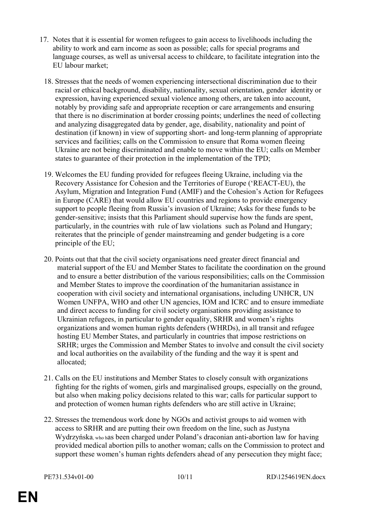- 17. Notes that it is essential for women refugees to gain access to livelihoods including the ability to work and earn income as soon as possible; calls for special programs and language courses, as well as universal access to childcare, to facilitate integration into the EU labour market;
	- 18. Stresses that the needs of women experiencing intersectional discrimination due to their racial or ethical background, disability, nationality, sexual orientation, gender identity or expression, having experienced sexual violence among others, are taken into account, notably by providing safe and appropriate reception or care arrangements and ensuring that there is no discrimination at border crossing points; underlines the need of collecting and analyzing disaggregated data by gender, age, disability, nationality and point of destination (if known) in view of supporting short- and long-term planning of appropriate services and facilities; calls on the Commission to ensure that Roma women fleeing Ukraine are not being discriminated and enable to move within the EU; calls on Member states to guarantee of their protection in the implementation of the TPD;
	- 19. Welcomes the EU funding provided for refugees fleeing Ukraine, including via the Recovery Assistance for Cohesion and the Territories of Europe ('REACT-EU), the Asylum, Migration and Integration Fund (AMIF) and the Cohesion's Action for Refugees in Europe (CARE) that would allow EU countries and regions to provide emergency support to people fleeing from Russia's invasion of Ukraine; Asks for these funds to be gender-sensitive; insists that this Parliament should supervise how the funds are spent, particularly, in the countries with rule of law violations such as Poland and Hungary; reiterates that the principle of gender mainstreaming and gender budgeting is a core principle of the EU;
	- 20. Points out that that the civil society organisations need greater direct financial and material support of the EU and Member States to facilitate the coordination on the ground and to ensure a better distribution of the various responsibilities; calls on the Commission and Member States to improve the coordination of the humanitarian assistance in cooperation with civil society and international organisations, including UNHCR, UN Women UNFPA, WHO and other UN agencies, IOM and ICRC and to ensure immediate and direct access to funding for civil society organisations providing assistance to Ukrainian refugees, in particular to gender equality, SRHR and women's rights organizations and women human rights defenders (WHRDs), in all transit and refugee hosting EU Member States, and particularly in countries that impose restrictions on SRHR; urges the Commission and Member States to involve and consult the civil society and local authorities on the availability of the funding and the way it is spent and allocated;
	- 21. Calls on the EU institutions and Member States to closely consult with organizations fighting for the rights of women, girls and marginalised groups, especially on the ground, but also when making policy decisions related to this war; calls for particular support to and protection of women human rights defenders who are still active in Ukraine;
	- 22. Stresses the tremendous work done by NGOs and activist groups to aid women with access to SRHR and are putting their own freedom on the line, such as Justyna Wydrzyńska, who has been charged under Poland's draconian anti-abortion law for having provided medical abortion pills to another woman; calls on the Commission to protect and support these women's human rights defenders ahead of any persecution they might face;